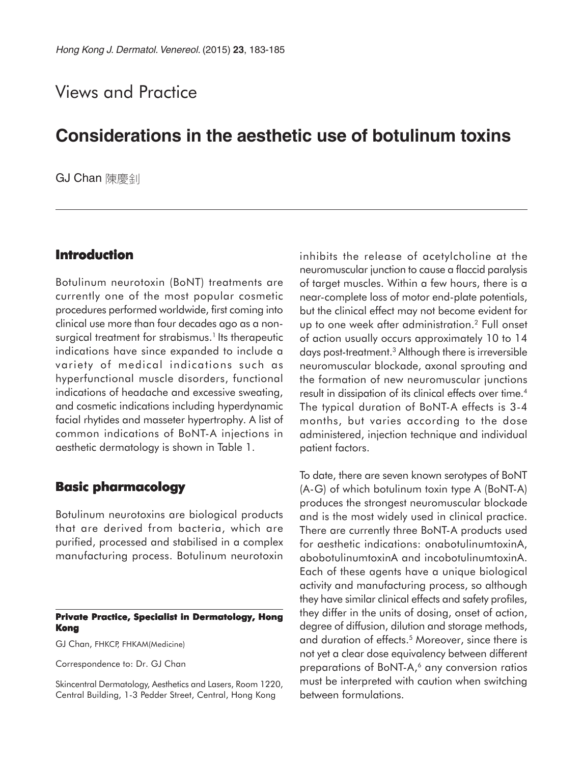# Views and Practice

# **Considerations in the aesthetic use of botulinum toxins**

**GJ Chan** 陳慶創

## **Introduction**

Botulinum neurotoxin (BoNT) treatments are currently one of the most popular cosmetic procedures performed worldwide, first coming into clinical use more than four decades ago as a nonsurgical treatment for strabismus.<sup>1</sup> Its therapeutic indications have since expanded to include a variety of medical indications such as hyperfunctional muscle disorders, functional indications of headache and excessive sweating, and cosmetic indications including hyperdynamic facial rhytides and masseter hypertrophy. A list of common indications of BoNT-A injections in aesthetic dermatology is shown in Table 1.

## **Basic pharmacology**

Botulinum neurotoxins are biological products that are derived from bacteria, which are purified, processed and stabilised in a complex manufacturing process. Botulinum neurotoxin

#### **Private Practice, Specialist in Dermatology, Hong Kong**

GJ Chan, FHKCP, FHKAM(Medicine)

Correspondence to: Dr. GJ Chan

Skincentral Dermatology, Aesthetics and Lasers, Room 1220, Central Building, 1-3 Pedder Street, Central, Hong Kong

inhibits the release of acetylcholine at the neuromuscular junction to cause a flaccid paralysis of target muscles. Within a few hours, there is a near-complete loss of motor end-plate potentials, but the clinical effect may not become evident for up to one week after administration.2 Full onset of action usually occurs approximately 10 to 14 days post-treatment.3 Although there is irreversible neuromuscular blockade, axonal sprouting and the formation of new neuromuscular junctions result in dissipation of its clinical effects over time.<sup>4</sup> The typical duration of BoNT-A effects is 3-4 months, but varies according to the dose administered, injection technique and individual patient factors.

To date, there are seven known serotypes of BoNT (A-G) of which botulinum toxin type A (BoNT-A) produces the strongest neuromuscular blockade and is the most widely used in clinical practice. There are currently three BoNT-A products used for aesthetic indications: onabotulinumtoxinA, abobotulinumtoxinA and incobotulinumtoxinA. Each of these agents have a unique biological activity and manufacturing process, so although they have similar clinical effects and safety profiles, they differ in the units of dosing, onset of action, degree of diffusion, dilution and storage methods, and duration of effects.<sup>5</sup> Moreover, since there is not yet a clear dose equivalency between different preparations of BoNT-A,<sup>6</sup> any conversion ratios must be interpreted with caution when switching between formulations.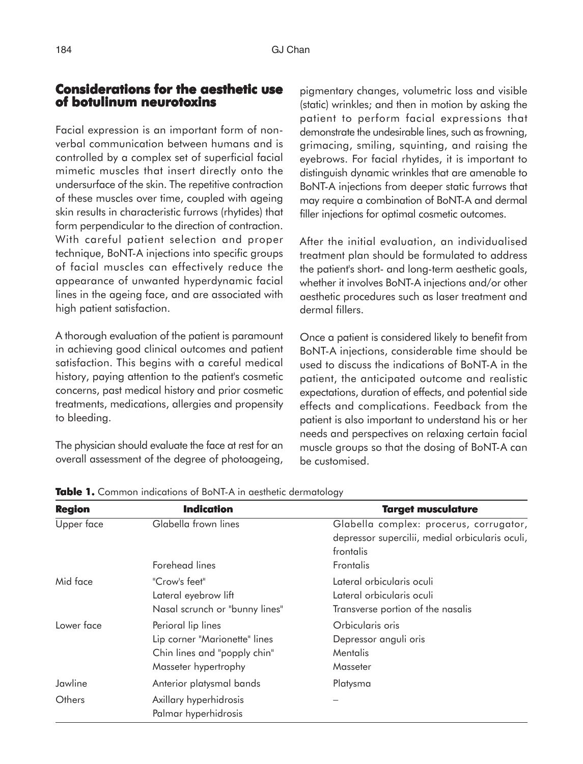### **Considerations for the aesthetic use of botulinum neurotoxins**

Facial expression is an important form of nonverbal communication between humans and is controlled by a complex set of superficial facial mimetic muscles that insert directly onto the undersurface of the skin. The repetitive contraction of these muscles over time, coupled with ageing skin results in characteristic furrows (rhytides) that form perpendicular to the direction of contraction. With careful patient selection and proper technique, BoNT-A injections into specific groups of facial muscles can effectively reduce the appearance of unwanted hyperdynamic facial lines in the ageing face, and are associated with high patient satisfaction.

A thorough evaluation of the patient is paramount in achieving good clinical outcomes and patient satisfaction. This begins with a careful medical history, paying attention to the patient's cosmetic concerns, past medical history and prior cosmetic treatments, medications, allergies and propensity to bleeding.

The physician should evaluate the face at rest for an overall assessment of the degree of photoageing, pigmentary changes, volumetric loss and visible (static) wrinkles; and then in motion by asking the patient to perform facial expressions that demonstrate the undesirable lines, such as frowning, grimacing, smiling, squinting, and raising the eyebrows. For facial rhytides, it is important to distinguish dynamic wrinkles that are amenable to BoNT-A injections from deeper static furrows that may require a combination of BoNT-A and dermal filler injections for optimal cosmetic outcomes.

After the initial evaluation, an individualised treatment plan should be formulated to address the patient's short- and long-term aesthetic goals, whether it involves BoNT-A injections and/or other aesthetic procedures such as laser treatment and dermal fillers.

Once a patient is considered likely to benefit from BoNT-A injections, considerable time should be used to discuss the indications of BoNT-A in the patient, the anticipated outcome and realistic expectations, duration of effects, and potential side effects and complications. Feedback from the patient is also important to understand his or her needs and perspectives on relaxing certain facial muscle groups so that the dosing of BoNT-A can be customised.

| <b>Region</b> | <b>Indication</b>              | <b>Target musculature</b>                       |
|---------------|--------------------------------|-------------------------------------------------|
| Upper face    | Glabella frown lines           | Glabella complex: procerus, corrugator,         |
|               |                                | depressor supercilii, medial orbicularis oculi, |
|               |                                | frontalis                                       |
|               | Forehead lines                 | Frontalis                                       |
| Mid face      | "Crow's feet"                  | Lateral orbicularis oculi                       |
|               | Lateral eyebrow lift           | Lateral orbicularis oculi                       |
|               | Nasal scrunch or "bunny lines" | Transverse portion of the nasalis               |
| Lower face    | Perioral lip lines             | Orbicularis oris                                |
|               | Lip corner "Marionette" lines  | Depressor anguli oris                           |
|               | Chin lines and "popply chin"   | Mentalis                                        |
|               | Masseter hypertrophy           | Masseter                                        |
| Jawline       | Anterior platysmal bands       | Platysma                                        |
| Others        | Axillary hyperhidrosis         |                                                 |
|               | Palmar hyperhidrosis           |                                                 |

**Table 1.** Common indications of BoNT-A in aesthetic dermatology